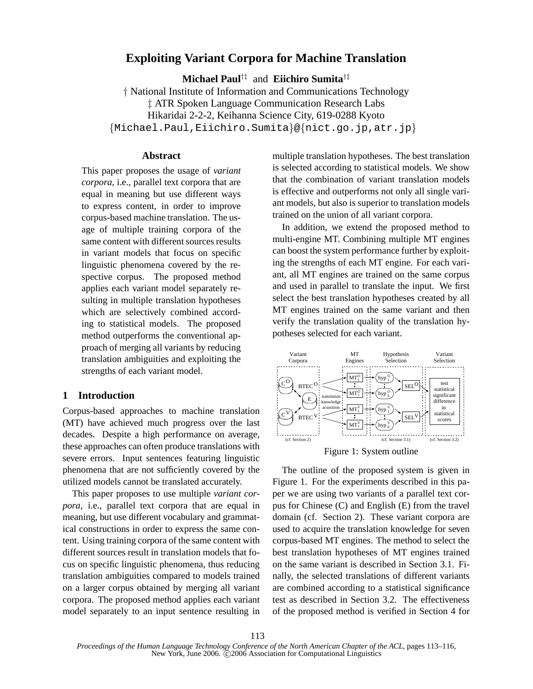# **Exploiting Variant Corpora for Machine Translation**

**Michael Paul**†‡ and **Eiichiro Sumita**†‡

† National Institute of Information and Communications Technology ‡ ATR Spoken Language Communication Research Labs Hikaridai 2-2-2, Keihanna Science City, 619-0288 Kyoto {Michael.Paul,Eiichiro.Sumita}@{nict.go.jp,atr.jp}

## **Abstract**

This paper proposes the usage of *variant corpora*, i.e., parallel text corpora that are equal in meaning but use different ways to express content, in order to improve corpus-based machine translation. The usage of multiple training corpora of the same content with different sources results in variant models that focus on specific linguistic phenomena covered by the respective corpus. The proposed method applies each variant model separately resulting in multiple translation hypotheses which are selectively combined according to statistical models. The proposed method outperforms the conventional approach of merging all variants by reducing translation ambiguities and exploiting the strengths of each variant model.

## **1 Introduction**

Corpus-based approaches to machine translation (MT) have achieved much progress over the last decades. Despite a high performance on average, these approaches can often produce translations with severe errors. Input sentences featuring linguistic phenomena that are not sufficiently covered by the utilized models cannot be translated accurately.

This paper proposes to use multiple *variant corpora*, i.e., parallel text corpora that are equal in meaning, but use different vocabulary and grammatical constructions in order to express the same content. Using training corpora of the same content with different sources result in translation models that focus on specific linguistic phenomena, thus reducing translation ambiguities compared to models trained on a larger corpus obtained by merging all variant corpora. The proposed method applies each variant model separately to an input sentence resulting in multiple translation hypotheses. The best translation is selected according to statistical models. We show that the combination of variant translation models is effective and outperforms not only all single variant models, but also is superior to translation models trained on the union of all variant corpora.

In addition, we extend the proposed method to multi-engine MT. Combining multiple MT engines can boost the system performance further by exploiting the strengths of each MT engine. For each variant, all MT engines are trained on the same corpus and used in parallel to translate the input. We first select the best translation hypotheses created by all MT engines trained on the same variant and then verify the translation quality of the translation hypotheses selected for each variant.



Figure 1: System outline

The outline of the proposed system is given in Figure 1. For the experiments described in this paper we are using two variants of a parallel text corpus for Chinese (C) and English (E) from the travel domain (cf. Section 2). These variant corpora are used to acquire the translation knowledge for seven corpus-based MT engines. The method to select the best translation hypotheses of MT engines trained on the same variant is described in Section 3.1. Finally, the selected translations of different variants are combined according to a statistical significance test as described in Section 3.2. The effectiveness of the proposed method is verified in Section 4 for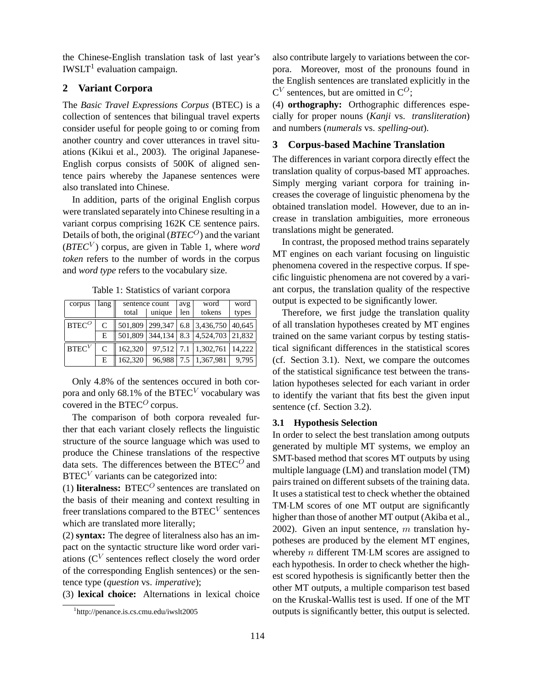the Chinese-English translation task of last year's IWSLT 1 evaluation campaign.

# **2 Variant Corpora**

The *Basic Travel Expressions Corpus* (BTEC) is a collection of sentences that bilingual travel experts consider useful for people going to or coming from another country and cover utterances in travel situations (Kikui et al., 2003). The original Japanese-English corpus consists of 500K of aligned sentence pairs whereby the Japanese sentences were also translated into Chinese.

In addition, parts of the original English corpus were translated separately into Chinese resulting in a variant corpus comprising 162K CE sentence pairs. Details of both, the original (*BTEC<sup>O</sup>*) and the variant (*BTEC*<sup>V</sup> ) corpus, are given in Table 1, where *word token* refers to the number of words in the corpus and *word type* refers to the vocabulary size.

| corpus            | lang |                 | sentence count | avg           | word            | word   |
|-------------------|------|-----------------|----------------|---------------|-----------------|--------|
|                   |      | total<br>unique |                | tokens<br>len |                 | types  |
| $BTEC^O$          | C    | 501,809         | 299,347        | 6.8           | 3,436,750       | 40,645 |
|                   | Е    | 501.809         | 344,134        | 8.3           | 4,524,703       | 21.832 |
| BTEC <sup>V</sup> | C    | 162,320         | 97,512 7.1     |               | 1,302,761       | 14.222 |
|                   | E    | 162,320         | 96,988         |               | 7.5   1,367,981 | 9.795  |

Table 1: Statistics of variant corpora

Only 4.8% of the sentences occured in both corpora and only 68.1% of the BTEC<sup>V</sup> vocabulary was covered in the BTEC<sup> $O$ </sup> corpus.

The comparison of both corpora revealed further that each variant closely reflects the linguistic structure of the source language which was used to produce the Chinese translations of the respective data sets. The differences between the  $BTEC<sup>O</sup>$  and  $BTEC<sup>V</sup>$  variants can be categorized into:

(1) **literalness:** BTEC<sup> $O$ </sup> sentences are translated on the basis of their meaning and context resulting in freer translations compared to the BTEC<sup>V</sup> sentences which are translated more literally;

(2) **syntax:** The degree of literalness also has an impact on the syntactic structure like word order variations ( $C<sup>V</sup>$  sentences reflect closely the word order of the corresponding English sentences) or the sentence type (*question* vs. *imperative*);

(3) **lexical choice:** Alternations in lexical choice

also contribute largely to variations between the corpora. Moreover, most of the pronouns found in the English sentences are translated explicitly in the  $C^V$  sentences, but are omitted in  $C^O$ ;

(4) **orthography:** Orthographic differences especially for proper nouns (*Kanji* vs. *transliteration*) and numbers (*numerals* vs. *spelling-out*).

## **3 Corpus-based Machine Translation**

The differences in variant corpora directly effect the translation quality of corpus-based MT approaches. Simply merging variant corpora for training increases the coverage of linguistic phenomena by the obtained translation model. However, due to an increase in translation ambiguities, more erroneous translations might be generated.

In contrast, the proposed method trains separately MT engines on each variant focusing on linguistic phenomena covered in the respective corpus. If specific linguistic phenomena are not covered by a variant corpus, the translation quality of the respective output is expected to be significantly lower.

Therefore, we first judge the translation quality of all translation hypotheses created by MT engines trained on the same variant corpus by testing statistical significant differences in the statistical scores (cf. Section 3.1). Next, we compare the outcomes of the statistical significance test between the translation hypotheses selected for each variant in order to identify the variant that fits best the given input sentence (cf. Section 3.2).

#### **3.1 Hypothesis Selection**

In order to select the best translation among outputs generated by multiple MT systems, we employ an SMT-based method that scores MT outputs by using multiple language (LM) and translation model (TM) pairs trained on different subsets of the training data. It uses a statistical test to check whether the obtained TM·LM scores of one MT output are significantly higher than those of another MT output (Akiba et al., 2002). Given an input sentence,  $m$  translation hypotheses are produced by the element MT engines, whereby  $n$  different TM·LM scores are assigned to each hypothesis. In order to check whether the highest scored hypothesis is significantly better then the other MT outputs, a multiple comparison test based on the Kruskal-Wallis test is used. If one of the MT outputs is significantly better, this output is selected.

<sup>1</sup> http://penance.is.cs.cmu.edu/iwslt2005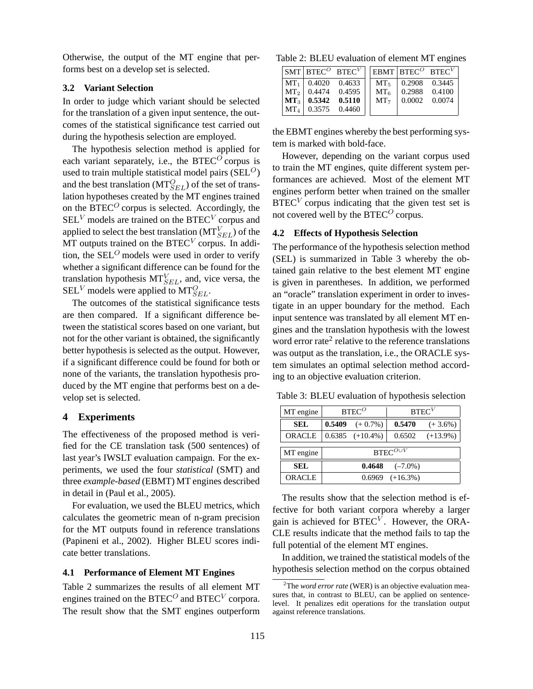Otherwise, the output of the MT engine that performs best on a develop set is selected.

### **3.2 Variant Selection**

In order to judge which variant should be selected for the translation of a given input sentence, the outcomes of the statistical significance test carried out during the hypothesis selection are employed.

The hypothesis selection method is applied for each variant separately, i.e., the  $BTEC^{\overline{O}}$  corpus is used to train multiple statistical model pairs ( $SEL^O$ ) and the best translation ( $MT_{SEL}^O$ ) of the set of translation hypotheses created by the MT engines trained on the BTEC<sup> $O$ </sup> corpus is selected. Accordingly, the  $\text{SEL}^V$  models are trained on the BTEC<sup>V</sup> corpus and applied to select the best translation ( $MT_{SEL}^V$ ) of the MT outputs trained on the BTEC<sup>V</sup> corpus. In addition, the  $SEL<sup>O</sup>$  models were used in order to verify whether a significant difference can be found for the translation hypothesis  $MT_{SEL}^V$ , and, vice versa, the  $\text{SEL}^V$  models were applied to  $\text{MT}_{SEL}^O$ .

The outcomes of the statistical significance tests are then compared. If a significant difference between the statistical scores based on one variant, but not for the other variant is obtained, the significantly better hypothesis is selected as the output. However, if a significant difference could be found for both or none of the variants, the translation hypothesis produced by the MT engine that performs best on a develop set is selected.

### **4 Experiments**

The effectiveness of the proposed method is verified for the CE translation task (500 sentences) of last year's IWSLT evaluation campaign. For the experiments, we used the four *statistical* (SMT) and three *example-based* (EBMT) MT engines described in detail in (Paul et al., 2005).

For evaluation, we used the BLEU metrics, which calculates the geometric mean of n-gram precision for the MT outputs found in reference translations (Papineni et al., 2002). Higher BLEU scores indicate better translations.

### **4.1 Performance of Element MT Engines**

Table 2 summarizes the results of all element MT engines trained on the BTEC<sup>O</sup> and BTEC<sup>V</sup> corpora. The result show that the SMT engines outperform

Table 2: BLEU evaluation of element MT engines

|                 |                 | $SMT$ BTEC <sup><math>O</math></sup> BTEC <sup>V</sup> |                 | $EBMT$ BTEC <sup>O</sup> BTEC <sup>V</sup> |        |
|-----------------|-----------------|--------------------------------------------------------|-----------------|--------------------------------------------|--------|
|                 | $MT_1$ 0.4020   | 0.4633                                                 | MT <sub>5</sub> | $\vert 0.2908 \vert 0.3445$                |        |
| MT <sub>2</sub> |                 | 0.4474 0.4595                                          | $MT_6$          | 1 0.2988 0.4100                            |        |
|                 | $MT_3$   0.5342 | 0.5110                                                 | MT <sub>7</sub> | 0.0002                                     | 0.0074 |
| $MT_{4}$        |                 | 0.3575 0.4460                                          |                 |                                            |        |

the EBMT engines whereby the best performing system is marked with bold-face.

However, depending on the variant corpus used to train the MT engines, quite different system performances are achieved. Most of the element MT engines perform better when trained on the smaller  $BTEC<sup>V</sup>$  corpus indicating that the given test set is not covered well by the  $BTEC<sup>O</sup>$  corpus.

## **4.2 Effects of Hypothesis Selection**

The performance of the hypothesis selection method (SEL) is summarized in Table 3 whereby the obtained gain relative to the best element MT engine is given in parentheses. In addition, we performed an "oracle" translation experiment in order to investigate in an upper boundary for the method. Each input sentence was translated by all element MT engines and the translation hypothesis with the lowest word error rate<sup>2</sup> relative to the reference translations was output as the translation, i.e., the ORACLE system simulates an optimal selection method according to an objective evaluation criterion.

Table 3: BLEU evaluation of hypothesis selection

| MT engine     | $BTEC^O$          |                      | BTEC <sup>V</sup>    |             |  |  |
|---------------|-------------------|----------------------|----------------------|-------------|--|--|
| <b>SEL</b>    | 0.5409            | $(+ 0.7\%)$          | 0.5470               | $(+3.6\%)$  |  |  |
| <b>ORACLE</b> |                   | $0.6385$ $(+10.4\%)$ | 0.6502               | $(+13.9\%)$ |  |  |
| MT engine     | BTEC $^{O\cup V}$ |                      |                      |             |  |  |
| <b>SEL</b>    |                   | 0.4648               | $(-7.0\%)$           |             |  |  |
| ORACLE        |                   |                      | $0.6969$ $(+16.3\%)$ |             |  |  |

The results show that the selection method is effective for both variant corpora whereby a larger gain is achieved for  $\text{BTEC}^V$ . However, the ORA-CLE results indicate that the method fails to tap the full potential of the element MT engines.

In addition, we trained the statistical models of the hypothesis selection method on the corpus obtained

<sup>2</sup>The *word error rate* (WER) is an objective evaluation measures that, in contrast to BLEU, can be applied on sentencelevel. It penalizes edit operations for the translation output against reference translations.